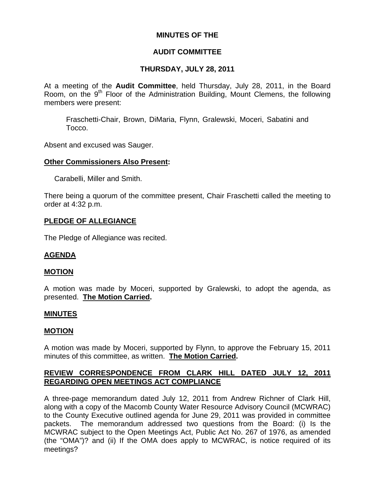## **MINUTES OF THE**

## **AUDIT COMMITTEE**

# **THURSDAY, JULY 28, 2011**

At a meeting of the **Audit Committee**, held Thursday, July 28, 2011, in the Board Room, on the 9<sup>th</sup> Floor of the Administration Building, Mount Clemens, the following members were present:

Fraschetti-Chair, Brown, DiMaria, Flynn, Gralewski, Moceri, Sabatini and Tocco.

Absent and excused was Sauger.

#### **Other Commissioners Also Present:**

Carabelli, Miller and Smith.

There being a quorum of the committee present, Chair Fraschetti called the meeting to order at 4:32 p.m.

## **PLEDGE OF ALLEGIANCE**

The Pledge of Allegiance was recited.

## **AGENDA**

#### **MOTION**

A motion was made by Moceri, supported by Gralewski, to adopt the agenda, as presented. **The Motion Carried.** 

#### **MINUTES**

#### **MOTION**

A motion was made by Moceri, supported by Flynn, to approve the February 15, 2011 minutes of this committee, as written. **The Motion Carried.** 

## **REVIEW CORRESPONDENCE FROM CLARK HILL DATED JULY 12, 2011 REGARDING OPEN MEETINGS ACT COMPLIANCE**

A three-page memorandum dated July 12, 2011 from Andrew Richner of Clark Hill, along with a copy of the Macomb County Water Resource Advisory Council (MCWRAC) to the County Executive outlined agenda for June 29, 2011 was provided in committee packets. The memorandum addressed two questions from the Board: (i) Is the MCWRAC subject to the Open Meetings Act, Public Act No. 267 of 1976, as amended (the "OMA")? and (ii) If the OMA does apply to MCWRAC, is notice required of its meetings?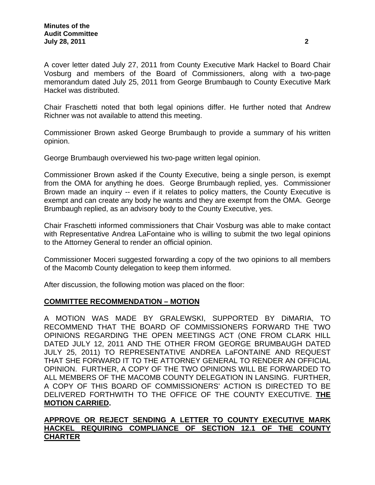Chair Fraschetti noted that both legal opinions differ. He further noted that Andrew Richner was not available to attend this meeting.

Commissioner Brown asked George Brumbaugh to provide a summary of his written opinion.

George Brumbaugh overviewed his two-page written legal opinion.

Commissioner Brown asked if the County Executive, being a single person, is exempt from the OMA for anything he does. George Brumbaugh replied, yes. Commissioner Brown made an inquiry -- even if it relates to policy matters, the County Executive is exempt and can create any body he wants and they are exempt from the OMA. George Brumbaugh replied, as an advisory body to the County Executive, yes.

Chair Fraschetti informed commissioners that Chair Vosburg was able to make contact with Representative Andrea LaFontaine who is willing to submit the two legal opinions to the Attorney General to render an official opinion.

Commissioner Moceri suggested forwarding a copy of the two opinions to all members of the Macomb County delegation to keep them informed.

After discussion, the following motion was placed on the floor:

# **COMMITTEE RECOMMENDATION – MOTION**

A MOTION WAS MADE BY GRALEWSKI, SUPPORTED BY DiMARIA, TO RECOMMEND THAT THE BOARD OF COMMISSIONERS FORWARD THE TWO OPINIONS REGARDING THE OPEN MEETINGS ACT (ONE FROM CLARK HILL DATED JULY 12, 2011 AND THE OTHER FROM GEORGE BRUMBAUGH DATED JULY 25, 2011) TO REPRESENTATIVE ANDREA LaFONTAINE AND REQUEST THAT SHE FORWARD IT TO THE ATTORNEY GENERAL TO RENDER AN OFFICIAL OPINION. FURTHER, A COPY OF THE TWO OPINIONS WILL BE FORWARDED TO ALL MEMBERS OF THE MACOMB COUNTY DELEGATION IN LANSING. FURTHER, A COPY OF THIS BOARD OF COMMISSIONERS' ACTION IS DIRECTED TO BE DELIVERED FORTHWITH TO THE OFFICE OF THE COUNTY EXECUTIVE. **THE MOTION CARRIED.** 

# **APPROVE OR REJECT SENDING A LETTER TO COUNTY EXECUTIVE MARK HACKEL REQUIRING COMPLIANCE OF SECTION 12.1 OF THE COUNTY CHARTER**